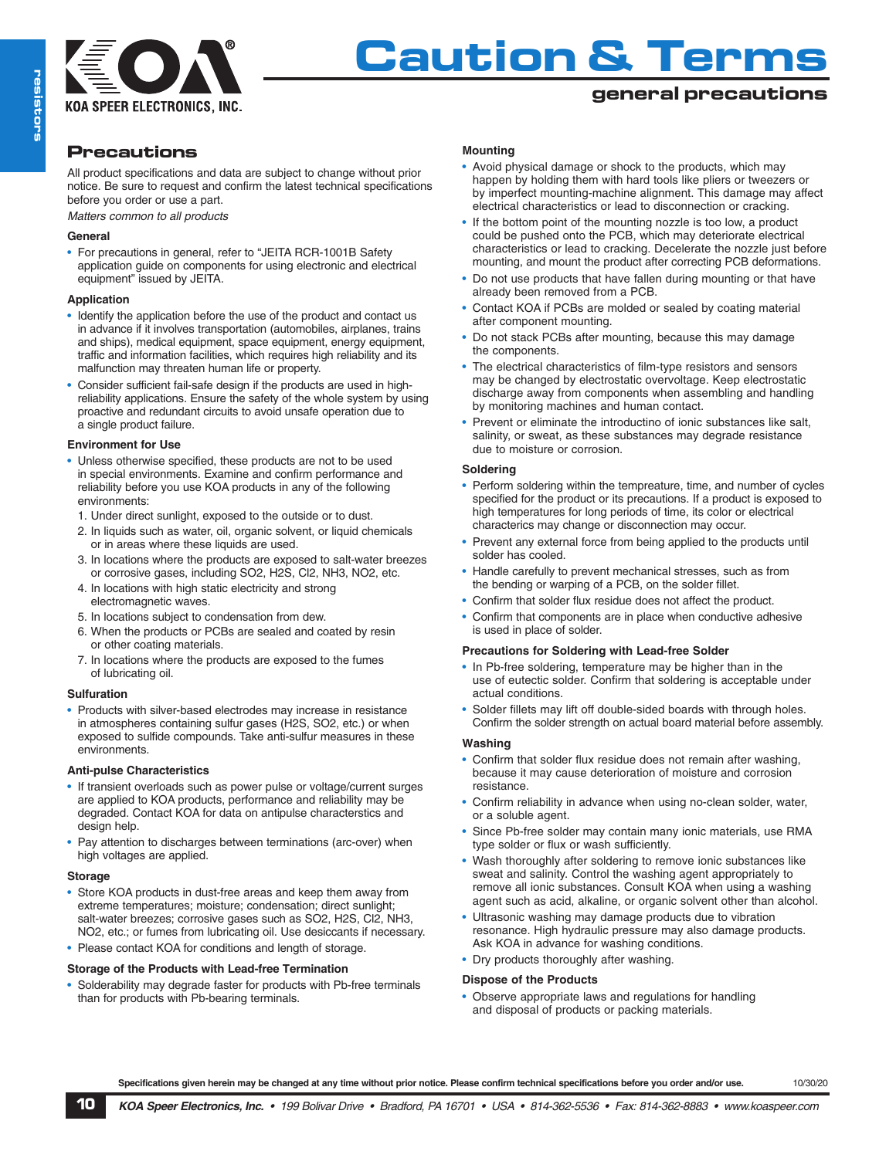

# **Caution & Terms**

# **general precautions**

# **Precautions**

All product specifications and data are subject to change without prior notice. Be sure to request and confirm the latest technical specifications before you order or use a part.

*Matters common to all products*

## **General**

• For precautions in general, refer to "JEITA RCR-1001B Safety application guide on components for using electronic and electrical equipment" issued by JEITA.

## **Application**

- Identify the application before the use of the product and contact us in advance if it involves transportation (automobiles, airplanes, trains and ships), medical equipment, space equipment, energy equipment, traffic and information facilities, which requires high reliability and its malfunction may threaten human life or property.
- Consider sufficient fail-safe design if the products are used in highreliability applications. Ensure the safety of the whole system by using proactive and redundant circuits to avoid unsafe operation due to a single product failure.

#### **Environment for Use**

- Unless otherwise specified, these products are not to be used in special environments. Examine and confirm performance and reliability before you use KOA products in any of the following environments:
	- 1. Under direct sunlight, exposed to the outside or to dust.
	- 2. In liquids such as water, oil, organic solvent, or liquid chemicals or in areas where these liquids are used.
	- 3. In locations where the products are exposed to salt-water breezes or corrosive gases, including SO2, H2S, Cl2, NH3, NO2, etc.
	- 4. In locations with high static electricity and strong electromagnetic waves.
	- 5. In locations subject to condensation from dew.
	- 6. When the products or PCBs are sealed and coated by resin or other coating materials.
	- 7. In locations where the products are exposed to the fumes of lubricating oil.

## **Sulfuration**

• Products with silver-based electrodes may increase in resistance in atmospheres containing sulfur gases (H2S, SO2, etc.) or when exposed to sulfide compounds. Take anti-sulfur measures in these environments.

#### **Anti-pulse Characteristics**

- If transient overloads such as power pulse or voltage/current surges are applied to KOA products, performance and reliability may be degraded. Contact KOA for data on antipulse characterstics and design help.
- Pay attention to discharges between terminations (arc-over) when high voltages are applied.

#### **Storage**

- Store KOA products in dust-free areas and keep them away from extreme temperatures; moisture; condensation; direct sunlight; salt-water breezes; corrosive gases such as SO2, H2S, Cl2, NH3, NO2, etc.; or fumes from lubricating oil. Use desiccants if necessary.
- Please contact KOA for conditions and length of storage.

## **Storage of the Products with Lead-free Termination**

• Solderability may degrade faster for products with Pb-free terminals than for products with Pb-bearing terminals.

#### **Mounting**

- Avoid physical damage or shock to the products, which may happen by holding them with hard tools like pliers or tweezers or by imperfect mounting-machine alignment. This damage may affect electrical characteristics or lead to disconnection or cracking.
- If the bottom point of the mounting nozzle is too low, a product could be pushed onto the PCB, which may deteriorate electrical characteristics or lead to cracking. Decelerate the nozzle just before mounting, and mount the product after correcting PCB deformations.
- Do not use products that have fallen during mounting or that have already been removed from a PCB.
- Contact KOA if PCBs are molded or sealed by coating material after component mounting.
- Do not stack PCBs after mounting, because this may damage the components.
- The electrical characteristics of film-type resistors and sensors may be changed by electrostatic overvoltage. Keep electrostatic discharge away from components when assembling and handling by monitoring machines and human contact.
- Prevent or eliminate the introductino of ionic substances like salt, salinity, or sweat, as these substances may degrade resistance due to moisture or corrosion.

#### **Soldering**

- Perform soldering within the tempreature, time, and number of cycles specified for the product or its precautions. If a product is exposed to high temperatures for long periods of time, its color or electrical characterics may change or disconnection may occur.
- Prevent any external force from being applied to the products until solder has cooled.
- Handle carefully to prevent mechanical stresses, such as from the bending or warping of a PCB, on the solder fillet.
- Confirm that solder flux residue does not affect the product.
- Confirm that components are in place when conductive adhesive is used in place of solder.

#### **Precautions for Soldering with Lead-free Solder**

- In Pb-free soldering, temperature may be higher than in the use of eutectic solder. Confirm that soldering is acceptable under actual conditions.
- Solder fillets may lift off double-sided boards with through holes. Confirm the solder strength on actual board material before assembly.

#### **Washing**

- Confirm that solder flux residue does not remain after washing, because it may cause deterioration of moisture and corrosion resistance.
- Confirm reliability in advance when using no-clean solder, water, or a soluble agent.
- Since Pb-free solder may contain many ionic materials, use RMA type solder or flux or wash sufficiently.
- Wash thoroughly after soldering to remove ionic substances like sweat and salinity. Control the washing agent appropriately to remove all ionic substances. Consult KOA when using a washing agent such as acid, alkaline, or organic solvent other than alcohol.
- Ultrasonic washing may damage products due to vibration resonance. High hydraulic pressure may also damage products. Ask KOA in advance for washing conditions.
- Dry products thoroughly after washing.

#### **Dispose of the Products**

• Observe appropriate laws and regulations for handling and disposal of products or packing materials.